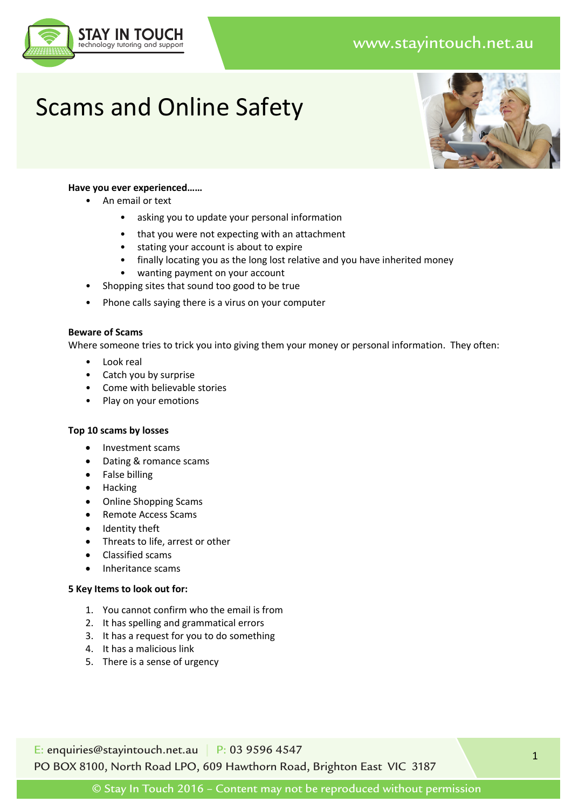## www.stayintouch.net.au



# Scams and Online Safety



#### **Have you ever experienced……**

- An email or text
	- asking you to update your personal information
	- that you were not expecting with an attachment
	- stating your account is about to expire
	- finally locating you as the long lost relative and you have inherited money
	- wanting payment on your account
- Shopping sites that sound too good to be true
- Phone calls saying there is a virus on your computer

#### **Beware of Scams**

Where someone tries to trick you into giving them your money or personal information. They often:

- Look real
- Catch you by surprise
- Come with believable stories
- Play on your emotions

#### **Top 10 scams by losses**

- Investment scams
- Dating & romance scams
- False billing
- Hacking
- Online Shopping Scams
- Remote Access Scams
- Identity theft
- Threats to life, arrest or other
- Classified scams
- Inheritance scams

#### **5 Key Items to look out for:**

- 1. You cannot confirm who the email is from
- 2. It has spelling and grammatical errors
- 3. It has a request for you to do something
- 4. It has a malicious link
- 5. There is a sense of urgency

E: enquiries@stayintouch.net.au | P: 03 9596 4547 PO BOX 8100, North Road LPO, 609 Hawthorn Road, Brighton East VIC 3187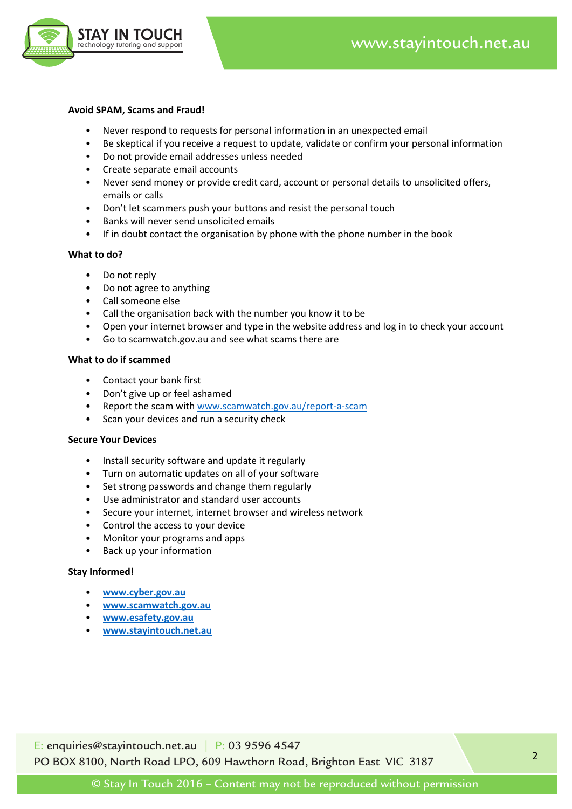

#### **Avoid SPAM, Scams and Fraud!**

- Never respond to requests for personal information in an unexpected email
- Be skeptical if you receive a request to update, validate or confirm your personal information
- Do not provide email addresses unless needed
- Create separate email accounts
- Never send money or provide credit card, account or personal details to unsolicited offers, emails or calls
- Don't let scammers push your buttons and resist the personal touch
- Banks will never send unsolicited emails
- If in doubt contact the organisation by phone with the phone number in the book

#### **What to do?**

- Do not reply
- Do not agree to anything
- Call someone else
- Call the organisation back with the number you know it to be
- Open your internet browser and type in the website address and log in to check your account
- Go to scamwatch.gov.au and see what scams there are

#### **What to do if scammed**

- Contact your bank first
- Don't give up or feel ashamed
- Report the scam with www.scamwatch.gov.au/report-a-scam
- Scan your devices and run a security check

#### **Secure Your Devices**

- Install security software and update it regularly
- Turn on automatic updates on all of your software
- Set strong passwords and change them regularly
- Use administrator and standard user accounts
- Secure your internet, internet browser and wireless network
- Control the access to your device
- Monitor your programs and apps
- Back up your information

#### **Stay Informed!**

- **www.cyber.gov.au**
- **www.scamwatch.gov.au**
- **www.esafety.gov.au**
- **www.stayintouch.net.au**